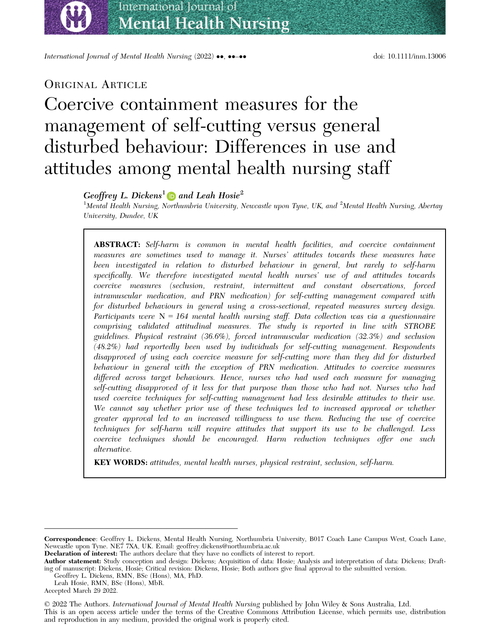International Journal of Mental Health Nursing (2022) ••, ••-•• doi: 10.1111/inm.13006

### ORIGINAL ARTICLE

# Coercive containment measures for the management of self-cutting versus general disturbed behaviour: Differences in use and attitudes among mental health nursing staff

### Geoffrey L. Dickens<sup>[1](https://orcid.org/0000-0002-8862-1527)</sup> and Leah Hosie<sup>2</sup>

 $^1$ Mental Health Nursing, Northumbria University, Newcastle upon Tyne, UK, and  $^2$ Mental Health Nursing, Abertay University, Dundee, UK

ABSTRACT: Self-harm is common in mental health facilities, and coercive containment measures are sometimes used to manage it. Nurses' attitudes towards these measures have been investigated in relation to disturbed behaviour in general, but rarely to self-harm specifically. We therefore investigated mental health nurses' use of and attitudes towards coercive measures (seclusion, restraint, intermittent and constant observations, forced intramuscular medication, and PRN medication) for self-cutting management compared with for disturbed behaviours in general using a cross-sectional, repeated measures survey design. Participants were  $N = 164$  mental health nursing staff. Data collection was via a questionnaire comprising validated attitudinal measures. The study is reported in line with STROBE guidelines. Physical restraint (36.6%), forced intramuscular medication (32.3%) and seclusion (48.2%) had reportedly been used by individuals for self-cutting management. Respondents disapproved of using each coercive measure for self-cutting more than they did for disturbed behaviour in general with the exception of PRN medication. Attitudes to coercive measures differed across target behaviours. Hence, nurses who had used each measure for managing self-cutting disapproved of it less for that purpose than those who had not. Nurses who had used coercive techniques for self-cutting management had less desirable attitudes to their use. We cannot say whether prior use of these techniques led to increased approval or whether greater approval led to an increased willingness to use them. Reducing the use of coercive techniques for self-harm will require attitudes that support its use to be challenged. Less coercive techniques should be encouraged. Harm reduction techniques offer one such alternative.

KEY WORDS: attitudes, mental health nurses, physical restraint, seclusion, self-harm.

Declaration of interest: The authors declare that they have no conflicts of interest to report.

Author statement: Study conception and design: Dickens; Acquisition of data: Hosie; Analysis and interpretation of data: Dickens; Drafting of manuscript: Dickens, Hosie; Critical revision: Dickens, Hosie; Both authors give final approval to the submitted version.

Accepted March 29 2022.

© 2022 The Authors. International Journal of Mental Health Nursing published by John Wiley & Sons Australia, Ltd.

This is an open access article under the terms of the [Creative Commons Attribution](http://creativecommons.org/licenses/by/4.0/) License, which permits use, distribution and reproduction in any medium, provided the original work is properly cited.

Correspondence: Geoffrey L. Dickens, Mental Health Nursing, Northumbria University, B017 Coach Lane Campus West, Coach Lane, Newcastle upon Tyne. NE7 7XA, UK. Email: [geoffrey.dickens@northumbria.ac.uk](mailto:)

Geoffrey L. Dickens, RMN, BSc (Hons), MA, PhD.

Leah Hosie, RMN, BSc (Hons), MbR.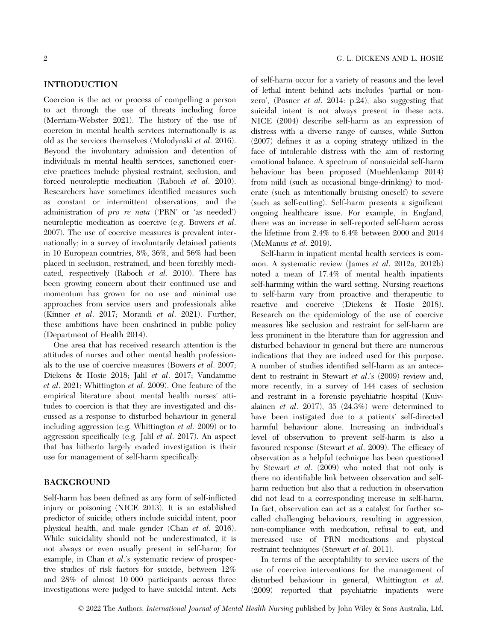#### **INTRODUCTION**

Coercion is the act or process of compelling a person to act through the use of threats including force (Merriam-Webster 2021). The history of the use of coercion in mental health services internationally is as old as the services themselves (Molodynski et al. 2016). Beyond the involuntary admission and detention of individuals in mental health services, sanctioned coercive practices include physical restraint, seclusion, and forced neuroleptic medication (Raboch et al. 2010). Researchers have sometimes identified measures such as constant or intermittent observations, and the administration of pro re nata ('PRN' or 'as needed') neuroleptic medication as coercive (e.g. Bowers et al. 2007). The use of coercive measures is prevalent internationally; in a survey of involuntarily detained patients in 10 European countries, 8%, 36%, and 56% had been placed in seclusion, restrained, and been forcibly medicated, respectively (Raboch et al. 2010). There has been growing concern about their continued use and momentum has grown for no use and minimal use approaches from service users and professionals alike (Kinner et al. 2017; Morandi et al. 2021). Further, these ambitions have been enshrined in public policy (Department of Health 2014).

One area that has received research attention is the attitudes of nurses and other mental health professionals to the use of coercive measures (Bowers et al. 2007; Dickens & Hosie 2018; Jalil et al. 2017; Vandamme et al. 2021; Whittington et al. 2009). One feature of the empirical literature about mental health nurses' attitudes to coercion is that they are investigated and discussed as a response to disturbed behaviour in general including aggression (e.g. Whittington et al. 2009) or to aggression specifically (e.g. Jalil et al. 2017). An aspect that has hitherto largely evaded investigation is their use for management of self-harm specifically.

#### **BACKGROUND** BACKGROUND COMPANY

Self-harm has been defined as any form of self-inflicted injury or poisoning (NICE 2013). It is an established predictor of suicide; others include suicidal intent, poor physical health, and male gender (Chan et al. 2016). While suicidality should not be underestimated, it is not always or even usually present in self-harm; for example, in Chan *et al.*'s systematic review of prospective studies of risk factors for suicide, between 12% and 28% of almost 10 000 participants across three investigations were judged to have suicidal intent. Acts

of self-harm occur for a variety of reasons and the level of lethal intent behind acts includes 'partial or nonzero', (Posner et al. 2014: p.24), also suggesting that suicidal intent is not always present in these acts. NICE (2004) describe self-harm as an expression of distress with a diverse range of causes, while Sutton (2007) defines it as a coping strategy utilized in the face of intolerable distress with the aim of restoring emotional balance. A spectrum of nonsuicidal self-harm behaviour has been proposed (Muehlenkamp 2014) from mild (such as occasional binge-drinking) to moderate (such as intentionally bruising oneself) to severe (such as self-cutting). Self-harm presents a significant ongoing healthcare issue. For example, in England, there was an increase in self-reported self-harm across the lifetime from 2.4% to 6.4% between 2000 and 2014 (McManus et al. 2019).

Self-harm in inpatient mental health services is common. A systematic review (James et al. 2012a, 2012b) noted a mean of 17.4% of mental health inpatients self-harming within the ward setting. Nursing reactions to self-harm vary from proactive and therapeutic to reactive and coercive (Dickens & Hosie 2018). Research on the epidemiology of the use of coercive measures like seclusion and restraint for self-harm are less prominent in the literature than for aggression and disturbed behaviour in general but there are numerous indications that they are indeed used for this purpose. A number of studies identified self-harm as an antecedent to restraint in Stewart *et al.*'s (2009) review and, more recently, in a survey of 144 cases of seclusion and restraint in a forensic psychiatric hospital (Kuivalainen et al. 2017), 35 (24.3%) were determined to have been instigated due to a patients' self-directed harmful behaviour alone. Increasing an individual's level of observation to prevent self-harm is also a favoured response (Stewart et al. 2009). The efficacy of observation as a helpful technique has been questioned by Stewart et al. (2009) who noted that not only is there no identifiable link between observation and selfharm reduction but also that a reduction in observation did not lead to a corresponding increase in self-harm. In fact, observation can act as a catalyst for further socalled challenging behaviours, resulting in aggression, non-compliance with medication, refusal to eat, and increased use of PRN medications and physical restraint techniques (Stewart et al. 2011).

In terms of the acceptability to service users of the use of coercive interventions for the management of disturbed behaviour in general, Whittington et al. (2009) reported that psychiatric inpatients were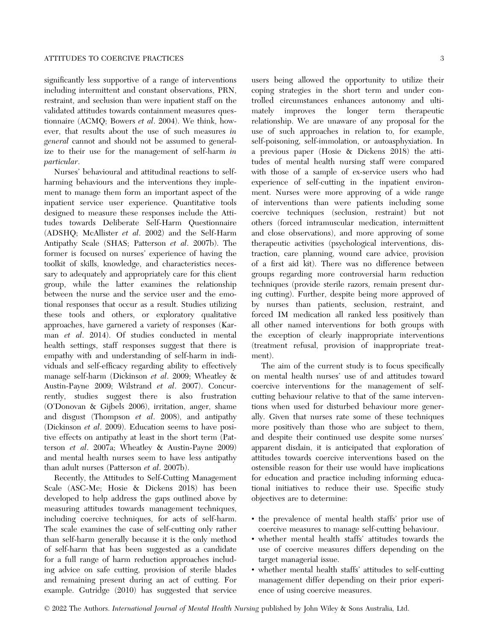significantly less supportive of a range of interventions including intermittent and constant observations, PRN, restraint, and seclusion than were inpatient staff on the validated attitudes towards containment measures questionnaire (ACMQ; Bowers et al. 2004). We think, however, that results about the use of such measures in general cannot and should not be assumed to generalize to their use for the management of self-harm in particular.

Nurses' behavioural and attitudinal reactions to selfharming behaviours and the interventions they implement to manage them form an important aspect of the inpatient service user experience. Quantitative tools designed to measure these responses include the Attitudes towards Deliberate Self-Harm Questionnaire (ADSHQ; McAllister et al. 2002) and the Self-Harm Antipathy Scale (SHAS; Patterson et al. 2007b). The former is focused on nurses' experience of having the toolkit of skills, knowledge, and characteristics necessary to adequately and appropriately care for this client group, while the latter examines the relationship between the nurse and the service user and the emotional responses that occur as a result. Studies utilizing these tools and others, or exploratory qualitative approaches, have garnered a variety of responses (Karman et al. 2014). Of studies conducted in mental health settings, staff responses suggest that there is empathy with and understanding of self-harm in individuals and self-efficacy regarding ability to effectively manage self-harm (Dickinson et al. 2009; Wheatley & Austin-Payne 2009; Wilstrand et al. 2007). Concurrently, studies suggest there is also frustration (O'Donovan & Gijbels 2006), irritation, anger, shame and disgust (Thompson et al. 2008), and antipathy (Dickinson et al. 2009). Education seems to have positive effects on antipathy at least in the short term (Patterson et al. 2007a; Wheatley & Austin-Payne 2009) and mental health nurses seem to have less antipathy than adult nurses (Patterson et al. 2007b).

Recently, the Attitudes to Self-Cutting Management Scale (ASC-Me; Hosie & Dickens 2018) has been developed to help address the gaps outlined above by measuring attitudes towards management techniques, including coercive techniques, for acts of self-harm. The scale examines the case of self-cutting only rather than self-harm generally because it is the only method of self-harm that has been suggested as a candidate for a full range of harm reduction approaches including advice on safe cutting, provision of sterile blades and remaining present during an act of cutting. For example. Gutridge (2010) has suggested that service users being allowed the opportunity to utilize their coping strategies in the short term and under controlled circumstances enhances autonomy and ultimately improves the longer term therapeutic relationship. We are unaware of any proposal for the use of such approaches in relation to, for example, self-poisoning, self-immolation, or autoasphyxiation. In a previous paper (Hosie & Dickens 2018) the attitudes of mental health nursing staff were compared with those of a sample of ex-service users who had experience of self-cutting in the inpatient environment. Nurses were more approving of a wide range of interventions than were patients including some coercive techniques (seclusion, restraint) but not others (forced intramuscular medication, intermittent and close observations), and more approving of some therapeutic activities (psychological interventions, distraction, care planning, wound care advice, provision of a first aid kit). There was no difference between groups regarding more controversial harm reduction

ing cutting). Further, despite being more approved of by nurses than patients, seclusion, restraint, and forced IM medication all ranked less positively than all other named interventions for both groups with the exception of clearly inappropriate interventions (treatment refusal, provision of inappropriate treatment). The aim of the current study is to focus specifically

techniques (provide sterile razors, remain present dur-

on mental health nurses' use of and attitudes toward coercive interventions for the management of selfcutting behaviour relative to that of the same interventions when used for disturbed behaviour more generally. Given that nurses rate some of these techniques more positively than those who are subject to them, and despite their continued use despite some nurses' apparent disdain, it is anticipated that exploration of attitudes towards coercive interventions based on the ostensible reason for their use would have implications for education and practice including informing educational initiatives to reduce their use. Specific study objectives are to determine:

- the prevalence of mental health staffs' prior use of coercive measures to manage self-cutting behaviour.
- whether mental health staffs' attitudes towards the use of coercive measures differs depending on the target managerial issue.
- whether mental health staffs' attitudes to self-cutting management differ depending on their prior experience of using coercive measures.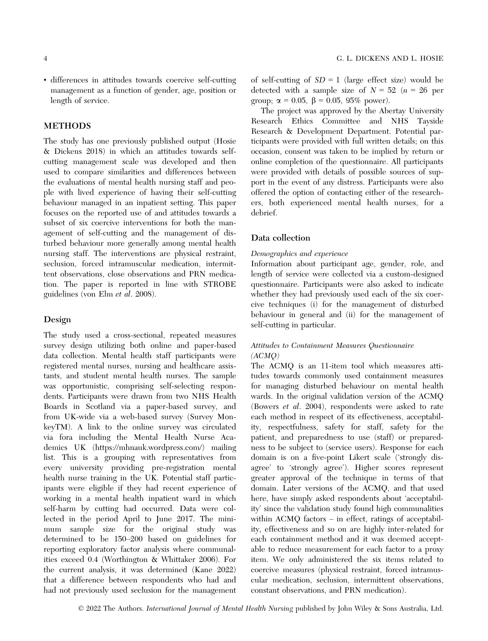• differences in attitudes towards coercive self-cutting management as a function of gender, age, position or length of service.

#### **METHODS** METHODS

The study has one previously published output (Hosie & Dickens 2018) in which an attitudes towards selfcutting management scale was developed and then used to compare similarities and differences between the evaluations of mental health nursing staff and people with lived experience of having their self-cutting behaviour managed in an inpatient setting. This paper focuses on the reported use of and attitudes towards a subset of six coercive interventions for both the management of self-cutting and the management of disturbed behaviour more generally among mental health nursing staff. The interventions are physical restraint, seclusion, forced intramuscular medication, intermittent observations, close observations and PRN medication. The paper is reported in line with STROBE guidelines (von Elm et al. 2008).

### $\overline{\phantom{a}}$

The study used a cross-sectional, repeated measures survey design utilizing both online and paper-based data collection. Mental health staff participants were registered mental nurses, nursing and healthcare assistants, and student mental health nurses. The sample was opportunistic, comprising self-selecting respondents. Participants were drawn from two NHS Health Boards in Scotland via a paper-based survey, and from UK-wide via a web-based survey (Survey MonkeyTM). A link to the online survey was circulated via fora including the Mental Health Nurse Academics UK [\(https://mhnauk.wordpress.com/\)](https://mhnauk.wordpress.com/) mailing list. This is a grouping with representatives from every university providing pre-registration mental health nurse training in the UK. Potential staff participants were eligible if they had recent experience of working in a mental health inpatient ward in which self-harm by cutting had occurred. Data were collected in the period April to June 2017. The minimum sample size for the original study was determined to be 150–200 based on guidelines for reporting exploratory factor analysis where communalities exceed 0.4 (Worthington & Whittaker 2006). For the current analysis, it was determined (Kane 2022) that a difference between respondents who had and had not previously used seclusion for the management

of self-cutting of  $SD = 1$  (large effect size) would be detected with a sample size of  $N = 52$  ( $n = 26$  per group;  $\alpha = 0.05$ ,  $\beta = 0.05$ , 95% power).

The project was approved by the Abertay University Research Ethics Committee and NHS Tayside Research & Development Department. Potential participants were provided with full written details; on this occasion, consent was taken to be implied by return or online completion of the questionnaire. All participants were provided with details of possible sources of support in the event of any distress. Participants were also offered the option of contacting either of the researchers, both experienced mental health nurses, for a debrief.

#### Data collection

#### Demographics and experience

Information about participant age, gender, role, and length of service were collected via a custom-designed questionnaire. Participants were also asked to indicate whether they had previously used each of the six coercive techniques (i) for the management of disturbed behaviour in general and (ii) for the management of self-cutting in particular.

#### Attitudes to Containment Measures Questionnaire (ACMQ)

The ACMQ is an 11-item tool which measures attitudes towards commonly used containment measures for managing disturbed behaviour on mental health wards. In the original validation version of the ACMQ (Bowers et al. 2004), respondents were asked to rate each method in respect of its effectiveness, acceptability, respectfulness, safety for staff, safety for the patient, and preparedness to use (staff) or preparedness to be subject to (service users). Response for each domain is on a five-point Likert scale ('strongly disagree' to 'strongly agree'). Higher scores represent greater approval of the technique in terms of that domain. Later versions of the ACMQ, and that used here, have simply asked respondents about 'acceptability' since the validation study found high communalities within ACMQ factors – in effect, ratings of acceptability, effectiveness and so on are highly inter-related for each containment method and it was deemed acceptable to reduce measurement for each factor to a proxy item. We only administered the six items related to coercive measures (physical restraint, forced intramuscular medication, seclusion, intermittent observations, constant observations, and PRN medication).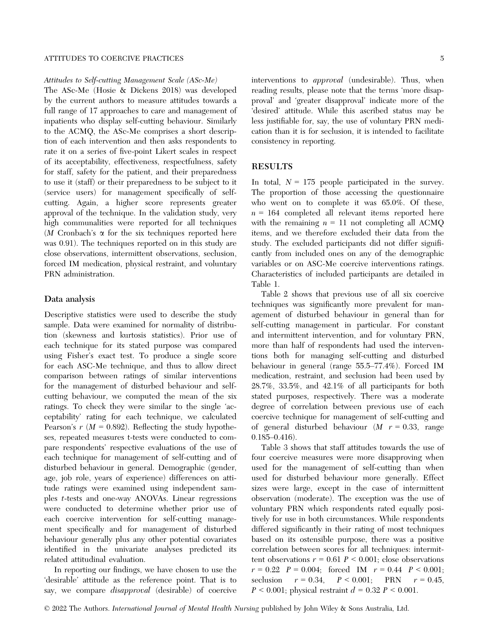Attitudes to Self-cutting Management Scale (ASc-Me)

The ASc-Me (Hosie & Dickens 2018) was developed by the current authors to measure attitudes towards a full range of 17 approaches to care and management of inpatients who display self-cutting behaviour. Similarly to the ACMQ, the ASc-Me comprises a short description of each intervention and then asks respondents to rate it on a series of five-point Likert scales in respect of its acceptability, effectiveness, respectfulness, safety for staff, safety for the patient, and their preparedness to use it (staff) or their preparedness to be subject to it (service users) for management specifically of selfcutting. Again, a higher score represents greater approval of the technique. In the validation study, very high communalities were reported for all techniques  $(M \text{ Cronbach's } \alpha \text{ for the six techniques reported here})$ was 0.91). The techniques reported on in this study are close observations, intermittent observations, seclusion, forced IM medication, physical restraint, and voluntary PRN administration.

#### Data analysis

Descriptive statistics were used to describe the study sample. Data were examined for normality of distribution (skewness and kurtosis statistics). Prior use of each technique for its stated purpose was compared using Fisher's exact test. To produce a single score for each ASC-Me technique, and thus to allow direct comparison between ratings of similar interventions for the management of disturbed behaviour and selfcutting behaviour, we computed the mean of the six ratings. To check they were similar to the single 'acceptability' rating for each technique, we calculated Pearson's  $r$  ( $M = 0.892$ ). Reflecting the study hypotheses, repeated measures t-tests were conducted to compare respondents' respective evaluations of the use of each technique for management of self-cutting and of disturbed behaviour in general. Demographic (gender, age, job role, years of experience) differences on attitude ratings were examined using independent samples t-tests and one-way ANOVAs. Linear regressions were conducted to determine whether prior use of each coercive intervention for self-cutting management specifically and for management of disturbed behaviour generally plus any other potential covariates identified in the univariate analyses predicted its related attitudinal evaluation.

In reporting our findings, we have chosen to use the 'desirable' attitude as the reference point. That is to say, we compare disapproval (desirable) of coercive interventions to *approval* (undesirable). Thus, when reading results, please note that the terms 'more disapproval' and 'greater disapproval' indicate more of the 'desired' attitude. While this ascribed status may be less justifiable for, say, the use of voluntary PRN medication than it is for seclusion, it is intended to facilitate consistency in reporting.

#### **RESULTS**

In total,  $N = 175$  people participated in the survey. The proportion of those accessing the questionnaire who went on to complete it was 65.0%. Of these,  $n = 164$  completed all relevant items reported here with the remaining  $n = 11$  not completing all ACMQ items, and we therefore excluded their data from the study. The excluded participants did not differ significantly from included ones on any of the demographic variables or on ASC-Me coercive interventions ratings. Characteristics of included participants are detailed in Table 1.

Table 2 shows that previous use of all six coercive techniques was significantly more prevalent for management of disturbed behaviour in general than for self-cutting management in particular. For constant and intermittent intervention, and for voluntary PRN, more than half of respondents had used the interventions both for managing self-cutting and disturbed behaviour in general (range 55.5–77.4%). Forced IM medication, restraint, and seclusion had been used by 28.7%, 33.5%, and 42.1% of all participants for both stated purposes, respectively. There was a moderate degree of correlation between previous use of each coercive technique for management of self-cutting and of general disturbed behaviour  $(M \ r = 0.33, \text{ range})$ 0.185–0.416).

Table 3 shows that staff attitudes towards the use of four coercive measures were more disapproving when used for the management of self-cutting than when used for disturbed behaviour more generally. Effect sizes were large, except in the case of intermittent observation (moderate). The exception was the use of voluntary PRN which respondents rated equally positively for use in both circumstances. While respondents differed significantly in their rating of most techniques based on its ostensible purpose, there was a positive correlation between scores for all techniques: intermittent observations  $r = 0.61$   $P < 0.001$ ; close observations  $r = 0.22$   $P = 0.004$ ; forced IM  $r = 0.44$   $P < 0.001$ ; seclusion  $r = 0.34$ ,  $P < 0.001$ ; PRN  $r = 0.45$ ,  $P < 0.001$ ; physical restraint  $d = 0.32$   $P < 0.001$ .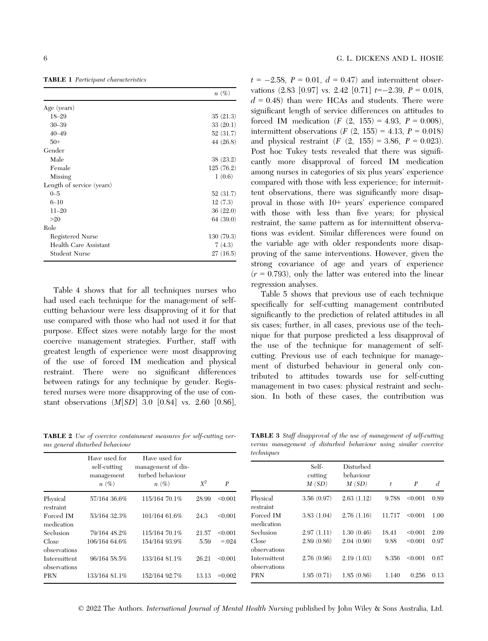TABLE 1 Participant characteristics

|                           | $n(\%)$     |
|---------------------------|-------------|
| Age (years)               |             |
| $18 - 29$                 | 35(21.3)    |
| $30 - 39$                 | 33(20.1)    |
| $40 - 49$                 | 52 (31.7)   |
| $50+$                     | 44 $(26.8)$ |
| Gender                    |             |
| Male                      | 38(23.2)    |
| Female                    | 125(76.2)   |
| Missing                   | 1(0.6)      |
| Length of service (years) |             |
| $0 - 5$                   | 52(31.7)    |
| $6 - 10$                  | 12(7.3)     |
| $11 - 20$                 | 36(22.0)    |
| >20                       | 64 (39.0)   |
| Role                      |             |
| Registered Nurse          | 130(79.3)   |
| Health Care Assistant     | 7(4.3)      |
| Student Nurse             | 27(16.5)    |

Table 4 shows that for all techniques nurses who had used each technique for the management of selfcutting behaviour were less disapproving of it for that use compared with those who had not used it for that purpose. Effect sizes were notably large for the most coercive management strategies. Further, staff with greatest length of experience were most disapproving of the use of forced IM medication and physical restraint. There were no significant differences between ratings for any technique by gender. Registered nurses were more disapproving of the use of constant observations (M[SD] 3.0 [0.84] vs. 2.60 [0.86],

TABLE 2 Use of coercive containment measures for self-cutting versus general disturbed behaviour

 $t = -2.58$ ,  $P = 0.01$ ,  $d = 0.47$  and intermittent observations  $(2.83 \mid 0.97]$  vs. 2.42  $[0.71]$   $t=-2.39$ ,  $P = 0.018$ ,  $d = 0.48$ ) than were HCAs and students. There were significant length of service differences on attitudes to forced IM medication  $(F (2, 155) = 4.93, P = 0.008)$ , intermittent observations (*F* (2, 155) = 4.13, *P* = 0.018) and physical restraint  $(F (2, 155) = 3.86, P = 0.023)$ . Post hoc Tukey tests revealed that there was significantly more disapproval of forced IM medication among nurses in categories of six plus years' experience compared with those with less experience; for intermittent observations, there was significantly more disapproval in those with 10+ years' experience compared with those with less than five years; for physical restraint, the same pattern as for intermittent observations was evident. Similar differences were found on the variable age with older respondents more disapproving of the same interventions. However, given the strong covariance of age and years of experience  $(r = 0.793)$ , only the latter was entered into the linear regression analyses.

Table 5 shows that previous use of each technique specifically for self-cutting management contributed significantly to the prediction of related attitudes in all six cases; further, in all cases, previous use of the technique for that purpose predicted a less disapproval of the use of the technique for management of selfcutting. Previous use of each technique for management of disturbed behaviour in general only contributed to attitudes towards use for self-cutting management in two cases: physical restraint and seclusion. In both of these cases, the contribution was

TABLE 3 Staff disapproval of the use of management of self-cutting versus management of disturbed behaviour using similar coercive techniques

|                              | Have used for                         | Have used for                                     |       |           | rechniques                   |                           |                                 |        |                  |      |
|------------------------------|---------------------------------------|---------------------------------------------------|-------|-----------|------------------------------|---------------------------|---------------------------------|--------|------------------|------|
|                              | self-cutting<br>management<br>$n(\%)$ | management of dis-<br>turbed behaviour<br>$n(\%)$ | $X^2$ | P         |                              | Self-<br>cutting<br>M(SD) | Disturbed<br>behaviour<br>M(SD) | t      | $\boldsymbol{P}$ | d    |
| Physical<br>restraint        | 57/164 36.6%                          | 115/164 70.1%                                     | 28.99 | < 0.001   | Physical<br>restraint        | 3.56(0.97)                | 2.63(1.12)                      | 9.788  | < 0.001          | 0.89 |
| Forced IM<br>medication      | 53/164 32.3%                          | 101/164 61.6%                                     | 24.3  | < 0.001   | Forced IM<br>medication      | 3.83(1.04)                | 2.76(1.16)                      | 11.717 | < 0.001          | 1.00 |
| Seclusion                    | 79/164 48.2%                          | 115/164 70.1%                                     | 21.57 | < 0.001   | Seclusion                    | 2.97(1.11)                | 1.30(0.46)                      | 18.41  | < 0.001          | 2.09 |
| Close<br>observations        | 106/164 64.6%                         | 154/164 93.9%                                     | 5.59  | $= 0.024$ | Close<br>observations        | 2.89(0.86)                | 2.04(0.90)                      | 9.88   | < 0.001          | 0.97 |
| Intermittent<br>observations | 96/164 58.5%                          | 133/164 81.1%                                     | 26.21 | < 0.001   | Intermittent<br>observations | 2.76(0.96)                | 2.19(1.03)                      | 8.356  | < 0.001          | 0.67 |
| PRN                          | 133/164 81.1%                         | 152/164 92.7%                                     | 13.13 | $=0.002$  | <b>PRN</b>                   | 1.95(0.71)                | 1.85(0.86)                      | 1.140  | 0.256            | 0.13 |

© 2022 The Authors. International Journal of Mental Health Nursing published by John Wiley & Sons Australia, Ltd.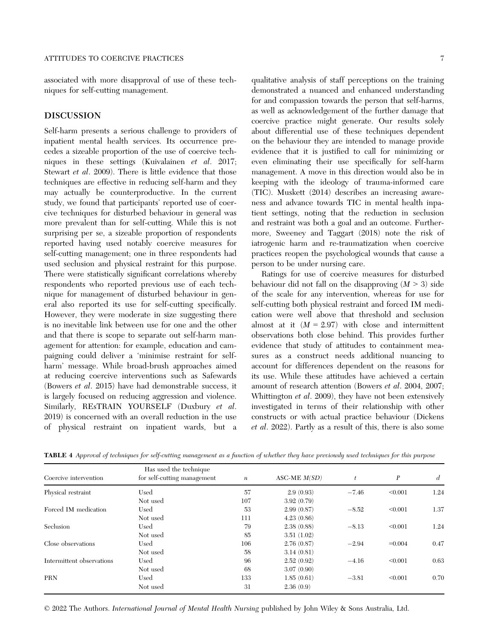associated with more disapproval of use of these techniques for self-cutting management.

Self-harm presents a serious challenge to providers of inpatient mental health services. Its occurrence precedes a sizeable proportion of the use of coercive techniques in these settings (Kuivalainen et al. 2017; Stewart et al. 2009). There is little evidence that those techniques are effective in reducing self-harm and they may actually be counterproductive. In the current study, we found that participants' reported use of coercive techniques for disturbed behaviour in general was more prevalent than for self-cutting. While this is not surprising per se, a sizeable proportion of respondents reported having used notably coercive measures for self-cutting management; one in three respondents had used seclusion and physical restraint for this purpose. There were statistically significant correlations whereby respondents who reported previous use of each technique for management of disturbed behaviour in general also reported its use for self-cutting specifically. However, they were moderate in size suggesting there is no inevitable link between use for one and the other and that there is scope to separate out self-harm management for attention: for example, education and campaigning could deliver a 'minimise restraint for selfharm' message. While broad-brush approaches aimed at reducing coercive interventions such as Safewards (Bowers et al. 2015) have had demonstrable success, it is largely focused on reducing aggression and violence. Similarly, RESTRAIN YOURSELF (Duxbury et al. 2019) is concerned with an overall reduction in the use of physical restraint on inpatient wards, but a qualitative analysis of staff perceptions on the training demonstrated a nuanced and enhanced understanding for and compassion towards the person that self-harms, as well as acknowledgement of the further damage that coercive practice might generate. Our results solely about differential use of these techniques dependent on the behaviour they are intended to manage provide evidence that it is justified to call for minimizing or even eliminating their use specifically for self-harm management. A move in this direction would also be in keeping with the ideology of trauma-informed care (TIC). Muskett (2014) describes an increasing awareness and advance towards TIC in mental health inpatient settings, noting that the reduction in seclusion and restraint was both a goal and an outcome. Furthermore, Sweeney and Taggart (2018) note the risk of iatrogenic harm and re-traumatization when coercive practices reopen the psychological wounds that cause a person to be under nursing care.

Ratings for use of coercive measures for disturbed behaviour did not fall on the disapproving  $(M > 3)$  side of the scale for any intervention, whereas for use for self-cutting both physical restraint and forced IM medication were well above that threshold and seclusion almost at it  $(M = 2.97)$  with close and intermittent observations both close behind. This provides further evidence that study of attitudes to containment measures as a construct needs additional nuancing to account for differences dependent on the reasons for its use. While these attitudes have achieved a certain amount of research attention (Bowers et al. 2004, 2007; Whittington et al. 2009), they have not been extensively investigated in terms of their relationship with other constructs or with actual practice behaviour (Dickens et al. 2022). Partly as a result of this, there is also some

| Coercive intervention     | Has used the technique<br>for self-cutting management | $\boldsymbol{n}$ | ASC-ME $M(SD)$ | $\boldsymbol{t}$ | $\boldsymbol{P}$ | d    |
|---------------------------|-------------------------------------------------------|------------------|----------------|------------------|------------------|------|
| Physical restraint        | Used                                                  | 57               | 2.9(0.93)      | $-7.46$          | < 0.001          | 1.24 |
|                           | Not used                                              | 107              | 3.92(0.79)     |                  |                  |      |
| Forced IM medication      | Used                                                  | 53               | 2.99(0.87)     | $-8.52$          | < 0.001          | 1.37 |
|                           | Not used                                              | 111              | 4.23(0.86)     |                  |                  |      |
| Seclusion                 | Used                                                  | 79               | 2.38(0.88)     | $-8.13$          | < 0.001          | 1.24 |
|                           | Not used                                              | 85               | 3.51(1.02)     |                  |                  |      |
| Close observations        | Used                                                  | 106              | 2.76(0.87)     | $-2.94$          | $=0.004$         | 0.47 |
|                           | Not used                                              | 58               | 3.14(0.81)     |                  |                  |      |
| Intermittent observations | Used                                                  | 96               | 2.52(0.92)     | $-4.16$          | < 0.001          | 0.63 |
|                           | Not used                                              | 68               | 3.07(0.90)     |                  |                  |      |
| PRN                       | Used                                                  | 133              | 1.85(0.61)     | $-3.81$          | < 0.001          | 0.70 |
|                           | Not used                                              | 31               | 2.36(0.9)      |                  |                  |      |

TABLE 4 Approval of techniques for self-cutting management as a function of whether they have previously used techniques for this purpose

© 2022 The Authors. International Journal of Mental Health Nursing published by John Wiley & Sons Australia, Ltd.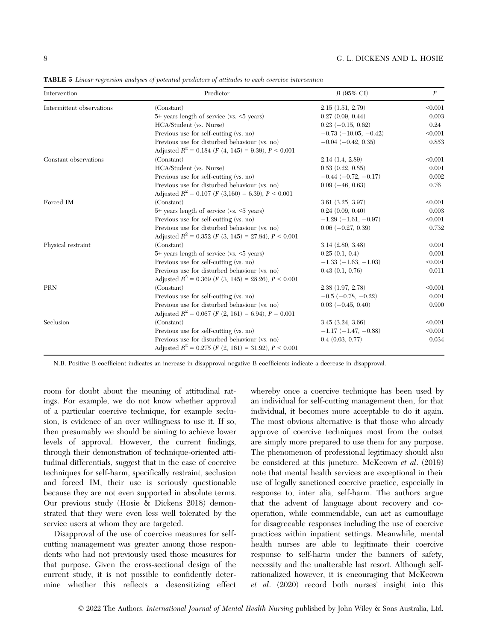| Intervention              | Predictor                                                             | $B(95\% \text{ CI})$           | $\boldsymbol{P}$ |
|---------------------------|-----------------------------------------------------------------------|--------------------------------|------------------|
| Intermittent observations | (Constant)                                                            | 2.15(1.51, 2.79)               | < 0.001          |
|                           | $5+$ years length of service (vs. $\leq 5$ years)                     | 0.27(0.09, 0.44)               | 0.003            |
|                           | HCA/Student (vs. Nurse)                                               | $0.23$ (-0.15, 0.62)           | 0.24             |
|                           | Previous use for self-cutting (vs. no)                                | $-0.73$ ( $-10.05$ , $-0.42$ ) | < 0.001          |
|                           | Previous use for disturbed behaviour (vs. no)                         | $-0.04$ $(-0.42, 0.35)$        | 0.853            |
|                           | Adjusted $R^2 = 0.184$ ( <i>F</i> (4, 145) = 9.39), <i>P</i> < 0.001  |                                |                  |
| Constant observations     | (Constant)                                                            | 2.14(1.4, 2.89)                | < 0.001          |
|                           | HCA/Student (vs. Nurse)                                               | 0.53(0.22, 0.85)               | 0.001            |
|                           | Previous use for self-cutting (vs. no)                                | $-0.44$ ( $-0.72$ , $-0.17$ )  | 0.002            |
|                           | Previous use for disturbed behaviour (vs. no)                         | $0.09$ ( $-46, 0.63$ )         | 0.76             |
|                           | Adjusted $R^2 = 0.107$ ( <i>F</i> (3,160) = 6.39), <i>P</i> < 0.001   |                                |                  |
| Forced IM                 | (Constant)                                                            | $3.61$ $(3.25, 3.97)$          | < 0.001          |
|                           | 5+ years length of service (vs. <5 years)                             | 0.24(0.09, 0.40)               | 0.003            |
|                           | Previous use for self-cutting (vs. no)                                | $-1.29(-1.61, -0.97)$          | < 0.001          |
|                           | Previous use for disturbed behaviour (vs. no)                         | $0.06$ $(-0.27, 0.39)$         | 0.732            |
|                           | Adjusted $R^2 = 0.352$ ( <i>F</i> (3, 145) = 27.84), <i>P</i> < 0.001 |                                |                  |
| Physical restraint        | (Constant)                                                            | $3.14$ $(2.80, 3.48)$          | 0.001            |
|                           | 5+ years length of service (vs. <5 years)                             | 0.25(0.1, 0.4)                 | 0.001            |
|                           | Previous use for self-cutting (vs. no)                                | $-1.33(-1.63,-1.03)$           | < 0.001          |
|                           | Previous use for disturbed behaviour (vs. no)                         | 0.43(0.1, 0.76)                | 0.011            |
|                           | Adjusted $R^2 = 0.369$ ( <i>F</i> (3, 145) = 28.26), <i>P</i> < 0.001 |                                |                  |
| PRN                       | (Constant)                                                            | 2.38(1.97, 2.78)               | < 0.001          |
|                           | Previous use for self-cutting (vs. no)                                | $-0.5$ ( $-0.78$ , $-0.22$ )   | 0.001            |
|                           | Previous use for disturbed behaviour (vs. no)                         | $0.03$ (-0.45, 0.40)           | 0.900            |
|                           | Adjusted $R^2 = 0.067$ ( <i>F</i> (2, 161) = 6.94), <i>P</i> = 0.001  |                                |                  |
| Seclusion                 | (Constant)                                                            | $3.45$ $(3.24, 3.66)$          | < 0.001          |
|                           | Previous use for self-cutting $(\mathrm{vs.~no})$                     | $-1.17(-1.47,-0.88)$           | < 0.001          |
|                           | Previous use for disturbed behaviour (vs. no)                         | 0.4(0.03, 0.77)                | 0.034            |
|                           | Adjusted $R^2 = 0.275$ ( <i>F</i> (2, 161) = 31.92), <i>P</i> < 0.001 |                                |                  |

TABLE 5 Linear regression analyses of potential predictors of attitudes to each coercive intervention

N.B. Positive B coefficient indicates an increase in disapproval negative B coefficients indicate a decrease in disapproval.

room for doubt about the meaning of attitudinal ratings. For example, we do not know whether approval of a particular coercive technique, for example seclusion, is evidence of an over willingness to use it. If so, then presumably we should be aiming to achieve lower levels of approval. However, the current findings, through their demonstration of technique-oriented attitudinal differentials, suggest that in the case of coercive techniques for self-harm, specifically restraint, seclusion and forced IM, their use is seriously questionable because they are not even supported in absolute terms. Our previous study (Hosie & Dickens 2018) demonstrated that they were even less well tolerated by the service users at whom they are targeted.

Disapproval of the use of coercive measures for selfcutting management was greater among those respondents who had not previously used those measures for that purpose. Given the cross-sectional design of the current study, it is not possible to confidently determine whether this reflects a desensitizing effect whereby once a coercive technique has been used by an individual for self-cutting management then, for that individual, it becomes more acceptable to do it again. The most obvious alternative is that those who already approve of coercive techniques most from the outset are simply more prepared to use them for any purpose. The phenomenon of professional legitimacy should also be considered at this juncture. McKeown et al. (2019) note that mental health services are exceptional in their use of legally sanctioned coercive practice, especially in response to, inter alia, self-harm. The authors argue that the advent of language about recovery and cooperation, while commendable, can act as camouflage for disagreeable responses including the use of coercive practices within inpatient settings. Meanwhile, mental health nurses are able to legitimate their coercive response to self-harm under the banners of safety, necessity and the unalterable last resort. Although selfrationalized however, it is encouraging that McKeown et al. (2020) record both nurses' insight into this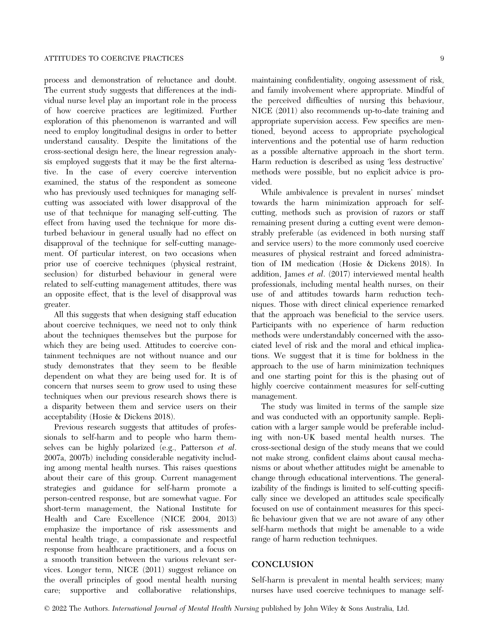process and demonstration of reluctance and doubt. The current study suggests that differences at the individual nurse level play an important role in the process of how coercive practices are legitimized. Further exploration of this phenomenon is warranted and will need to employ longitudinal designs in order to better understand causality. Despite the limitations of the cross-sectional design here, the linear regression analysis employed suggests that it may be the first alternative. In the case of every coercive intervention examined, the status of the respondent as someone who has previously used techniques for managing selfcutting was associated with lower disapproval of the use of that technique for managing self-cutting. The effect from having used the technique for more disturbed behaviour in general usually had no effect on disapproval of the technique for self-cutting management. Of particular interest, on two occasions when prior use of coercive techniques (physical restraint, seclusion) for disturbed behaviour in general were related to self-cutting management attitudes, there was an opposite effect, that is the level of disapproval was greater.

All this suggests that when designing staff education about coercive techniques, we need not to only think about the techniques themselves but the purpose for which they are being used. Attitudes to coercive containment techniques are not without nuance and our study demonstrates that they seem to be flexible dependent on what they are being used for. It is of concern that nurses seem to grow used to using these techniques when our previous research shows there is a disparity between them and service users on their acceptability (Hosie & Dickens 2018).

Previous research suggests that attitudes of professionals to self-harm and to people who harm themselves can be highly polarized (e.g., Patterson et al. 2007a, 2007b) including considerable negativity including among mental health nurses. This raises questions about their care of this group. Current management strategies and guidance for self-harm promote a person-centred response, but are somewhat vague. For short-term management, the National Institute for Health and Care Excellence (NICE 2004, 2013) emphasize the importance of risk assessments and mental health triage, a compassionate and respectful response from healthcare practitioners, and a focus on a smooth transition between the various relevant services. Longer term, NICE (2011) suggest reliance on the overall principles of good mental health nursing care; supportive and collaborative relationships,

maintaining confidentiality, ongoing assessment of risk, and family involvement where appropriate. Mindful of the perceived difficulties of nursing this behaviour, NICE (2011) also recommends up-to-date training and appropriate supervision access. Few specifics are mentioned, beyond access to appropriate psychological interventions and the potential use of harm reduction as a possible alternative approach in the short term. Harm reduction is described as using 'less destructive' methods were possible, but no explicit advice is provided.

While ambivalence is prevalent in nurses' mindset towards the harm minimization approach for selfcutting, methods such as provision of razors or staff remaining present during a cutting event were demonstrably preferable (as evidenced in both nursing staff and service users) to the more commonly used coercive measures of physical restraint and forced administration of IM medication (Hosie & Dickens 2018). In addition, James et al. (2017) interviewed mental health professionals, including mental health nurses, on their use of and attitudes towards harm reduction techniques. Those with direct clinical experience remarked that the approach was beneficial to the service users. Participants with no experience of harm reduction methods were understandably concerned with the associated level of risk and the moral and ethical implications. We suggest that it is time for boldness in the approach to the use of harm minimization techniques and one starting point for this is the phasing out of highly coercive containment measures for self-cutting management.

The study was limited in terms of the sample size and was conducted with an opportunity sample. Replication with a larger sample would be preferable including with non-UK based mental health nurses. The cross-sectional design of the study means that we could not make strong, confident claims about causal mechanisms or about whether attitudes might be amenable to change through educational interventions. The generalizability of the findings is limited to self-cutting specifically since we developed an attitudes scale specifically focused on use of containment measures for this specific behaviour given that we are not aware of any other self-harm methods that might be amenable to a wide range of harm reduction techniques.

#### **CONCLUSION** Concert and Concert

Self-harm is prevalent in mental health services; many nurses have used coercive techniques to manage self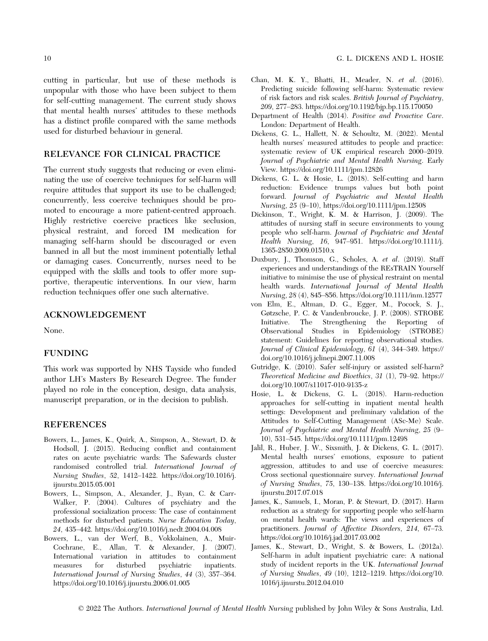cutting in particular, but use of these methods is unpopular with those who have been subject to them for self-cutting management. The current study shows that mental health nurses' attitudes to these methods has a distinct profile compared with the same methods used for disturbed behaviour in general.

#### RELEVANCE FOR CLINICAL PRACTICE RELEVANCE FOR CLINICAL PRACTICE

The current study suggests that reducing or even eliminating the use of coercive techniques for self-harm will require attitudes that support its use to be challenged; concurrently, less coercive techniques should be promoted to encourage a more patient-centred approach. Highly restrictive coercive practices like seclusion, physical restraint, and forced IM medication for managing self-harm should be discouraged or even banned in all but the most imminent potentially lethal or damaging cases. Concurrently, nurses need to be equipped with the skills and tools to offer more supportive, therapeutic interventions. In our view, harm reduction techniques offer one such alternative.

## ACKNOWLEDGEMENT

None.

#### **FUNDING**

This work was supported by NHS Tayside who funded author LH's Masters By Research Degree. The funder played no role in the conception, design, data analysis, manuscript preparation, or in the decision to publish.

## REFERENCES

- Bowers, L., James, K., Quirk, A., Simpson, A., Stewart, D. & Hodsoll, J. (2015). Reducing conflict and containment rates on acute psychiatric wards: The Safewards cluster randomised controlled trial. International Journal of Nursing Studies, 52, 1412–1422. [https://doi.org/10.1016/j.](https://doi.org/10.1016/j.ijnurstu.2015.05.001) [ijnurstu.2015.05.001](https://doi.org/10.1016/j.ijnurstu.2015.05.001)
- Bowers, L., Simpson, A., Alexander, J., Ryan, C. & Carr-Walker, P. (2004). Cultures of psychiatry and the professional socialization process: The case of containment methods for disturbed patients. Nurse Education Today, 24, 435–442.<https://doi.org/10.1016/j.nedt.2004.04.008>
- Bowers, L., van der Werf, B., Vokkolainen, A., Muir-Cochrane, E., Allan, T. & Alexander, J. (2007). International variation in attitudes to containment measures for disturbed psychiatric inpatients. International Journal of Nursing Studies, 44 (3), 357–364. <https://doi.org/10.1016/j.ijnurstu.2006.01.005>
- Chan, M. K. Y., Bhatti, H., Meader, N. et al. (2016). Predicting suicide following self-harm: Systematic review of risk factors and risk scales. British Journal of Psychiatry, 209, 277–283.<https://doi.org/10.1192/bjp.bp.115.170050>
- Department of Health (2014). Positive and Proactive Care. London: Department of Health.
- Dickens, G. L., Hallett, N. & Schoultz, M. (2022). Mental health nurses' measured attitudes to people and practice: systematic review of UK empirical research 2000–2019. Journal of Psychiatric and Mental Health Nursing. Early View.<https://doi.org/10.1111/jpm.12826>
- Dickens, G. L. & Hosie, L. (2018). Self-cutting and harm reduction: Evidence trumps values but both point forward. Journal of Psychiatric and Mental Health Nursing, 25 (9–10),<https://doi.org/10.1111/jpm.12508>
- Dickinson, T., Wright, K. M. & Harrison, J. (2009). The attitudes of nursing staff in secure environments to young people who self-harm. Journal of Psychiatric and Mental Health Nursing, 16, 947–951. [https://doi.org/10.1111/j.](https://doi.org/10.1111/j.1365-2850.2009.01510.x) [1365-2850.2009.01510.x](https://doi.org/10.1111/j.1365-2850.2009.01510.x)
- Duxbury, J., Thomson, G., Scholes, A. et al. (2019). Staff experiences and understandings of the REsTRAIN Yourself initiative to minimise the use of physical restraint on mental health wards. International Journal of Mental Health Nursing, 28 (4), 845–856.<https://doi.org/10.1111/inm.12577>
- von Elm, E., Altman, D. G., Egger, M., Pocock, S. J., Gøtzsche, P. C. & Vandenbroucke, J. P. (2008). STROBE Initiative. The Strengthening the Reporting of Observational Studies in Epidemiology (STROBE) statement: Guidelines for reporting observational studies. Journal of Clinical Epidemiology, 61 (4), 344–349. [https://](https://doi.org/10.1016/j.jclinepi.2007.11.008) [doi.org/10.1016/j.jclinepi.2007.11.008](https://doi.org/10.1016/j.jclinepi.2007.11.008)
- Gutridge, K. (2010). Safer self-injury or assisted self-harm? Theoretical Medicine and Bioethics, 31 (1), 79–92. [https://](https://doi.org/10.1007/s11017-010-9135-z) [doi.org/10.1007/s11017-010-9135-z](https://doi.org/10.1007/s11017-010-9135-z)
- Hosie, L. & Dickens, G. L. (2018). Harm-reduction approaches for self-cutting in inpatient mental health settings: Development and preliminary validation of the Attitudes to Self-Cutting Management (ASc-Me) Scale. Journal of Psychiatric and Mental Health Nursing, 25 (9– 10), 531–545.<https://doi.org/10.1111/jpm.12498>
- Jalil, R., Huber, J. W., Sixsmith, J. & Dickens, G. L. (2017). Mental health nurses' emotions, exposure to patient aggression, attitudes to and use of coercive measures: Cross sectional questionnaire survey. International Journal of Nursing Studies, 75, 130–138. [https://doi.org/10.1016/j.](https://doi.org/10.1016/j.ijnurstu.2017.07.018) [ijnurstu.2017.07.018](https://doi.org/10.1016/j.ijnurstu.2017.07.018)
- James, K., Samuels, I., Moran, P. & Stewart, D. (2017). Harm reduction as a strategy for supporting people who self-harm on mental health wards: The views and experiences of practitioners. Journal of Affective Disorders, 214, 67–73. <https://doi.org/10.1016/j.jad.2017.03.002>
- James, K., Stewart, D., Wright, S. & Bowers, L. (2012a). Self-harm in adult inpatient psychiatric care: A national study of incident reports in the UK. International Journal of Nursing Studies, 49 (10), 1212–1219. [https://doi.org/10.](https://doi.org/10.1016/j.ijnurstu.2012.04.010) [1016/j.ijnurstu.2012.04.010](https://doi.org/10.1016/j.ijnurstu.2012.04.010)

© 2022 The Authors. International Journal of Mental Health Nursing published by John Wiley & Sons Australia, Ltd.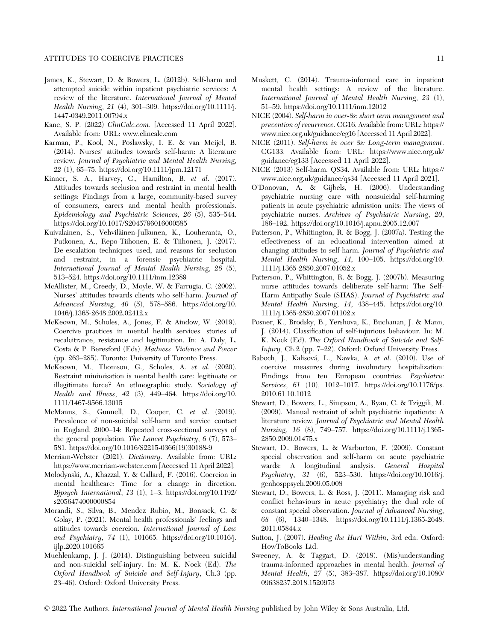- James, K., Stewart, D. & Bowers, L. (2012b). Self-harm and attempted suicide within inpatient psychiatric services: A review of the literature. International Journal of Mental Health Nursing, 21 (4), 301–309. [https://doi.org/10.1111/j.](https://doi.org/10.1111/j.1447-0349.2011.00794.x) [1447-0349.2011.00794.x](https://doi.org/10.1111/j.1447-0349.2011.00794.x)
- Kane, S. P. (2022) ClinCalc.com. [Accessed 11 April 2022]. Available from: URL: [www.clincalc.com](http://www.clincalc.com)
- Karman, P., Kool, N., Poslawsky, I. E. & van Meijel, B. (2014). Nurses' attitudes towards self-harm: A literature review. Journal of Psychiatric and Mental Health Nursing, 22 (1), 65–75.<https://doi.org/10.1111/jpm.12171>
- Kinner, S. A., Harvey, C., Hamilton, B. et al. (2017). Attitudes towards seclusion and restraint in mental health settings: Findings from a large, community-based survey of consumers, carers and mental health professionals. Epidemiology and Psychiatric Sciences, 26 (5), 535–544. <https://doi.org/10.1017/S2045796016000585>
- Kuivalainen, S., Vehviläinen-Julkunen, K., Louheranta, O., Putkonen, A., Repo-Tiihonen, E. & Tiihonen, J. (2017). De-escalation techniques used, and reasons for seclusion and restraint, in a forensic psychiatric hospital. International Journal of Mental Health Nursing, 26 (5), 513–524.<https://doi.org/10.1111/inm.12389>
- McAllister, M., Creedy, D., Moyle, W. & Farrugia, C. (2002). Nurses' attitudes towards clients who self-harm. Journal of Advanced Nursing, 40 (5), 578–586. [https://doi.org/10.](https://doi.org/10.1046/j.1365-2648.2002.02412.x) [1046/j.1365-2648.2002.02412.x](https://doi.org/10.1046/j.1365-2648.2002.02412.x)
- McKeown, M., Scholes, A., Jones, F. & Aindow, W. (2019). Coercive practices in mental health services: stories of recalcitrance, resistance and legitimation. In: A. Daly, L. Costa & P. Beresford (Eds). Madness, Violence and Power (pp. 263–285). Toronto: University of Toronto Press.
- McKeown, M., Thomson, G., Scholes, A. et al. (2020). Restraint minimisation is mental health care: legitimate or illegitimate force? An ethnographic study. Sociology of Health and Illness, 42 (3), 449–464. [https://doi.org/10.](https://doi.org/10.1111/1467-9566.13015) [1111/1467-9566.13015](https://doi.org/10.1111/1467-9566.13015)
- McManus, S., Gunnell, D., Cooper, C. et al. (2019). Prevalence of non-suicidal self-harm and service contact in England, 2000–14: Repeated cross-sectional surveys of the general population. The Lancet Psychiatry, 6 (7), 573– 581. [https://doi.org/10.1016/S2215-0366\(19\)30188-9](https://doi.org/10.1016/S2215-0366(19)30188-9)
- Merriam-Webster (2021). Dictionary. Available from: URL: <https://www.merriam-webster.com> [Accessed 11 April 2022].
- Molodynski, A., Khazzal, Y. & Callard, F. (2016). Coercion in mental healthcare: Time for a change in direction. Bjpsych International, 13 (1), 1–3. [https://doi.org/10.1192/](https://doi.org/10.1192/s2056474000000854) [s2056474000000854](https://doi.org/10.1192/s2056474000000854)
- Morandi, S., Silva, B., Mendez Rubio, M., Bonsack, C. & Golay, P. (2021). Mental health professionals' feelings and attitudes towards coercion. International Journal of Law and Psychiatry, 74 (1), 101665. [https://doi.org/10.1016/j.](https://doi.org/10.1016/j.ijlp.2020.101665) [ijlp.2020.101665](https://doi.org/10.1016/j.ijlp.2020.101665)
- Muehlenkamp, J. J. (2014). Distinguishing between suicidal and non-suicidal self-injury. In: M. K. Nock (Ed). The Oxford Handbook of Suicide and Self-Injury, Ch.3 (pp. 23–46). Oxford: Oxford University Press.
- Muskett, C. (2014). Trauma-informed care in inpatient mental health settings: A review of the literature. International Journal of Mental Health Nursing, 23 (1), 51–59.<https://doi.org/10.1111/inm.12012>
- NICE (2004). Self-harm in over-8s: short term management and prevention of recurrence. CG16. Available from: URL: [https://](https://www.nice.org.uk/guidance/cg16) [www.nice.org.uk/guidance/cg16](https://www.nice.org.uk/guidance/cg16) [Accessed 11 April 2022].
- NICE (2011). Self-harm in over 8s: Long-term management. CG133. Available from: URL: [https://www.nice.org.uk/](https://www.nice.org.uk/guidance/cg133) [guidance/cg133](https://www.nice.org.uk/guidance/cg133) [Accessed 11 April 2022].
- NICE (2013) Self-harm. QS34. Available from: URL: [https://](https://www.nice.org.uk/guidance/qs34) [www.nice.org.uk/guidance/qs34](https://www.nice.org.uk/guidance/qs34) [Accessed 11 April 2021].
- O'Donovan, A. & Gijbels, H. (2006). Understanding psychiatric nursing care with nonsuicidal self-harming patients in acute psychiatric admission units: The views of psychiatric nurses. Archives of Psychiatric Nursing, 20, 186–192.<https://doi.org/10.1016/j.apnu.2005.12.007>
- Patterson, P., Whittington, R. & Bogg, J. (2007a). Testing the effectiveness of an educational intervention aimed at changing attitudes to self-harm. Journal of Psychiatric and Mental Health Nursing, 14, 100–105. [https://doi.org/10.](https://doi.org/10.1111/j.1365-2850.2007.01052.x) [1111/j.1365-2850.2007.01052.x](https://doi.org/10.1111/j.1365-2850.2007.01052.x)
- Patterson, P., Whittington, R. & Bogg, J. (2007b). Measuring nurse attitudes towards deliberate self-harm: The Self-Harm Antipathy Scale (SHAS). Journal of Psychiatric and Mental Health Nursing, 14, 438–445. [https://doi.org/10.](https://doi.org/10.1111/j.1365-2850.2007.01102.x) [1111/j.1365-2850.2007.01102.x](https://doi.org/10.1111/j.1365-2850.2007.01102.x)
- Posner, K., Brodsky, B., Yershova, K., Buchanan, J. & Mann, J. (2014). Classification of self-injurious behaviour. In: M. K. Nock (Ed). The Oxford Handbook of Suicide and Self-Injury, Ch.2 (pp. 7–22). Oxford: Oxford University Press.
- Raboch, J., Kalisová, L., Nawka, A. et al. (2010). Use of coercive measures during involuntary hospitalization: Findings from ten European countries. Psychiatric Services, 61 (10), 1012–1017. [https://doi.org/10.1176/ps.](https://doi.org/10.1176/ps.2010.61.10.1012) [2010.61.10.1012](https://doi.org/10.1176/ps.2010.61.10.1012)
- Stewart, D., Bowers, L., Simpson, A., Ryan, C. & Tziggili, M. (2009). Manual restraint of adult psychiatric inpatients: A literature review. Journal of Psychiatric and Mental Health Nursing, 16 (8), 749–757. [https://doi.org/10.1111/j.1365-](https://doi.org/10.1111/j.1365-2850.2009.01475.x) [2850.2009.01475.x](https://doi.org/10.1111/j.1365-2850.2009.01475.x)
- Stewart, D., Bowers, L. & Warburton, F. (2009). Constant special observation and self-harm on acute psychiatric wards: A longitudinal analysis. General Hospital Psychiatry, 31 (6), 523–530. [https://doi.org/10.1016/j.](https://doi.org/10.1016/j.genhosppsych.2009.05.008) [genhosppsych.2009.05.008](https://doi.org/10.1016/j.genhosppsych.2009.05.008)
- Stewart, D., Bowers, L. & Ross, J. (2011). Managing risk and conflict behaviours in acute psychiatry; the dual role of constant special observation. Journal of Advanced Nursing, 68 (6), 1340–1348. [https://doi.org/10.1111/j.1365-2648.](https://doi.org/10.1111/j.1365-2648.2011.05844.x) [2011.05844.x](https://doi.org/10.1111/j.1365-2648.2011.05844.x)
- Sutton, J. (2007). Healing the Hurt Within, 3rd edn. Oxford: HowToBooks Ltd.
- Sweeney, A. & Taggart, D. (2018). (Mis)understanding trauma-informed approaches in mental health. Journal of Mental Health, 27 (5), 383–387. [https://doi.org/10.1080/](https://doi.org/10.1080/09638237.2018.1520973) [09638237.2018.1520973](https://doi.org/10.1080/09638237.2018.1520973)